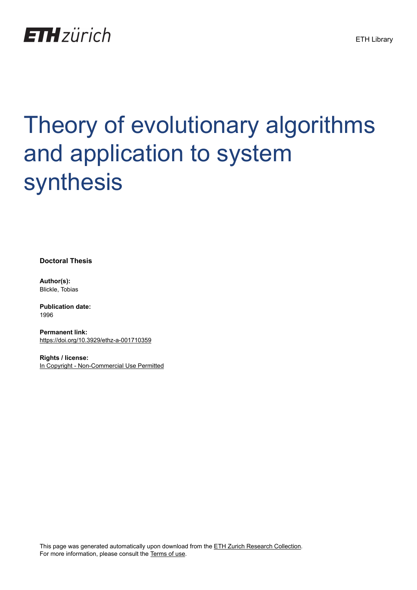

# Theory of evolutionary algorithms and application to system synthesis

**Doctoral Thesis**

**Author(s):** Blickle, Tobias

**Publication date:** 1996

**Permanent link:** <https://doi.org/10.3929/ethz-a-001710359>

**Rights / license:** [In Copyright - Non-Commercial Use Permitted](http://rightsstatements.org/page/InC-NC/1.0/)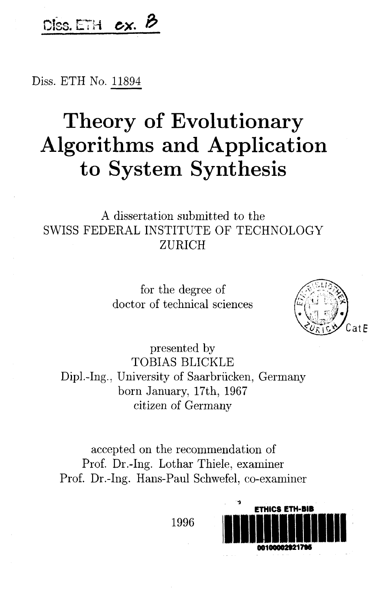### DISS. ETH  $ex.$  B

Diss. ETH No. <sup>11894</sup>

### Theory of Evolutionary Algorithms and Application to System Synthesis

#### A dissertation submitted to the SWISS FEDERAL INSTITUTE OF TECHNOLOGY ZÜRICH

for the degree of doctor of technical sciences



presented by TOBIAS BLICKLE Dipl.-Ing., University of Saarbrücken, Germany born January, 17th, 1967 citizen of Germany

accepted on the recommendation of Prof. Dr.-Ing. Lothar Thiele, examiner Prof. Dr.-Ing. Hans-Paul Schwefel, co-examiner

1996

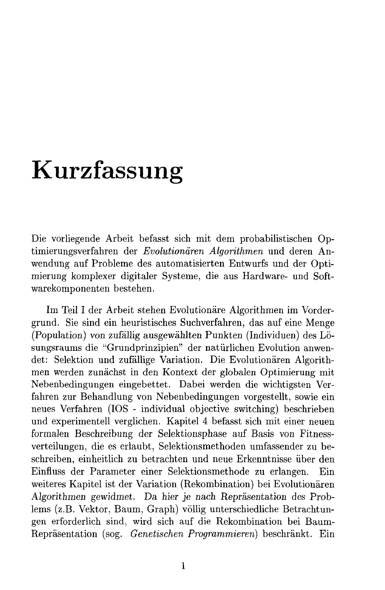## Kurzfassung

Die vorliegende Arbeit befasst sich mit dem probabilistischen Op timierungsverfahren der Evolutionären Algorithmen und deren Anwendung auf Probleme des automatisierten Entwurfs und der Optimierung komplexer digitaler Systeme, die aus Hardware- und Soft warekomponenten bestehen.

Im Teil I der Arbeit stehen Evolutionäre Algorithmen im Vordergrund. Sie sind ein heuristisches Suchverfahren, das auf eine Menge (Population) von zufällig ausgewählten Punkten (Individuen) des Lö sungsraums die "Grundprinzipien" der natürlichen Evolution anwendet: Selektion und zufällige Variation. Die Evolutionären Algorithmen werden zunächst in den Kontext der globalen Optimierung mit Nebenbedingungen eingebettet. Dabei werden die wichtigsten Ver fahren zur Behandlung von Nebenbedingungen vorgestellt, sowie ein neues Verfahren (IOS - individual objective switching) beschrieben und experimentell verglichen. Kapitel 4 befasst sich mit einer neuen formalen Beschreibung der Selektionsphase auf Basis von Fitnessverteilungen, die es erlaubt, Selektionsmethoden umfassender zu be schreiben, einheitlich zu betrachten und neue Erkenntnisse über den Einfluss der Parameter einer Selektionsmethode zu erlangen. Ein weiteres Kapitel ist der Variation (Rekombination) bei Evolutionären Algorithmen gewidmet. Da hier je nach Repräsentation des Problems (z.B. Vektor, Baum, Graph) völlig unterschiedliche Betrachtungen erforderlich sind, wird sich auf die Rekombination bei Baum-Repräsentation (sog. Genetischen Programmieren) beschränkt. Ein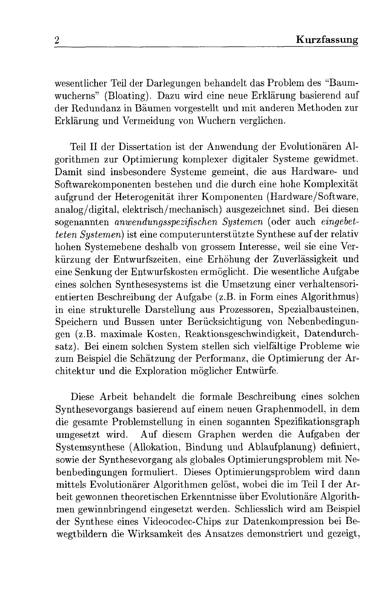wesentlicher Teil der Darlegungen behandelt das Problem des "Baumwucherns" (Bloating). Dazu wird eine neue Erklärung basierend auf der Redundanz in Bäumen vorgestellt und mit anderen Methoden zur Erklärung und Vermeidung von Wuchern verglichen.

Teil II der Dissertation ist der Anwendung der Evolutionären Al gorithmen zur Optimierung komplexer digitaler Systeme gewidmet. Damit sind insbesondere Systeme gemeint, die aus Hardware- und Softwarekomponenten bestehen und die durch eine hohe Komplexität aufgrund der Heterogenität ihrer Komponenten (Hardware/Software, analog/digital, elektrisch/mechanisch) ausgezeichnet sind. Bei diesen sogenannten anwendungsspezifischen Systemen (oder auch eingebetteten Systemen) ist eine computerunterstützte Synthese auf der relativ hohen Systemebene deshalb von grossem Interesse, weil sie eine Ver kürzung der Entwurfszeiten, eine Erhöhung der Zuverlässigkeit und eine Senkung der Entwurfskosten ermöglicht. Die wesentliche Aufgabe eines solchen Synthesesystems ist die Umsetzung einer verhaltensori entierten Beschreibung der Aufgabe (z.B. in Form eines Algorithmus) in eine strukturelle Darstellung aus Prozessoren, Spezialbausteinen, Speichern und Bussen unter Berücksichtigung von Nebenbedingungen (z.B. maximale Kosten, Reaktionsgeschwindigkeit, Datendurch satz). Bei einem solchen System stellen sich vielfältige Probleme wie zum Beispiel die Schätzung der Performanz, die Optimierung der Architektur und die Exploration möglicher Entwürfe.

Diese Arbeit behandelt die formale Beschreibung eines solchen Synthesevorgangs basierend auf einem neuen Graphenmodell, in dem die gesamte Problemstellung in einen sogannten Spezifikationsgraph umgesetzt wird. Auf diesem Graphen werden die Aufgaben der Systemsynthese (Allokation, Bindung und Ablaufplanung) definiert, sowie der Synthesevorgang als globales Optimierungsproblem mit Ne benbedingungen formuliert. Dieses Optimierungsproblem wird dann mittels Evolutionärer Algorithmen gelöst, wobei die im Teil I der Arbeit gewonnen theoretischen Erkenntnisse über Evolutionäre Algorithmen gewinnbringend eingesetzt werden. Schliesslich wird am Beispiel der Synthese eines Videocodec-Chips zur Datenkompression bei Be wegtbildern die Wirksamkeit des Ansatzes demonstriert und gezeigt,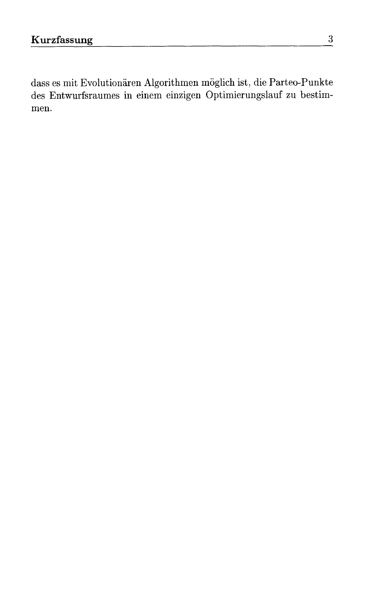dass es mit Evolutionären Algorithmen möglich ist, die Parteo-Punkte des Entwurfsraumes in einem einzigen Optimierungslauf zu bestimmen.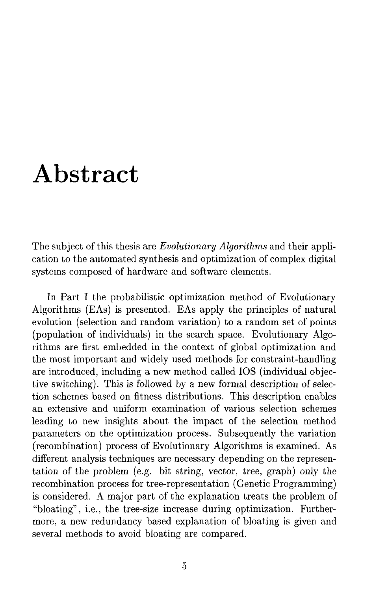### Abstract

The subject of this thesis are *Evolutionary Algorithms* and their application to the automated synthesis and optimization of complex digital systems composed of hardware and software elements.

In Part <sup>I</sup> the probabilistic optimization method of Evolutionary Algorithms (EAs) is presented. EAs apply the principles of natural evolution (selection and random Variation) to <sup>a</sup> random set of points (population of individuals) in the search space. Evolutionary Algorithms are first embedded in the context of global optimization and the most important and widely used methods for constraint-handling are introduced, including a new method called IOS (individual objective switching). This is followed by a new formal description of selection schemes based on fitness distributions. This description enables an extensive and uniform examination of various selection schemes leading to new insights about the impact of the selection method parameters on the optimization process. Subsequently the variation (recombination) process of Evolutionary Algorithms is examined. As different analysis techniques are necessary depending on the representation of the problem (e.g. bit string, vector, tree, graph) only the recombination process for tree-representation (Genetic Programming) is considered. A major part of the explanation treats the problem of "bloating", i.e., the tree-size increase during optimization. Furthermore, a new redundancy based explanation of bloating is given and several methods to avoid bloating are compared.